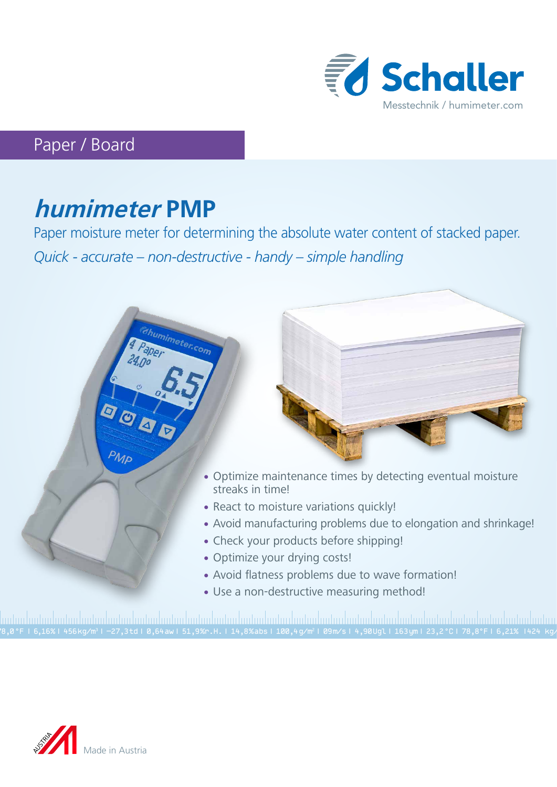

## Paper / Board

# **humimeter PMP**

Paper moisture meter for determining the absolute water content of stacked paper. *Quick - accurate – non-destructive - handy – simple handling*



78,0 °F | 6,16%| 456 kg/m3 | -27,3 td| 0,64 aw| 51,9 %r.H.| 14,8 % abs| 100,4 g/m2 | 09 m/s| 4,90 Ugl| 163 ym| 23,2 °C| 78,8°F| 6,21% |424 kg/m